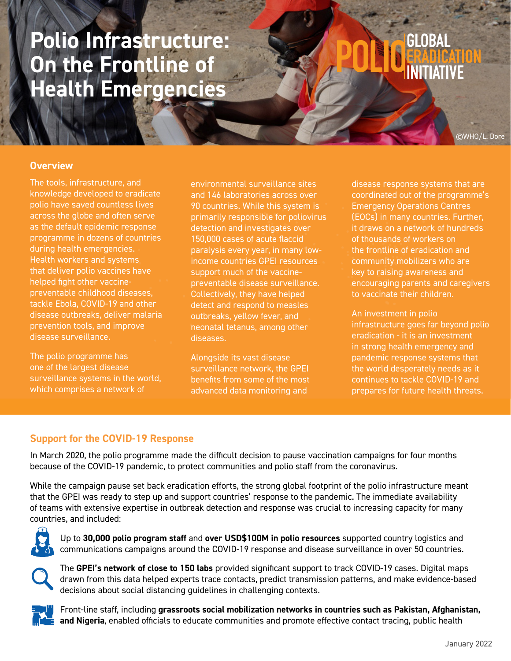## **Polio Infrastructure: On the Frontline of Health Emergencies**

# GLOBAL

©WHO/L. Dore

#### **Overview**

The tools, infrastructure, and knowledge developed to eradicate polio have saved countless lives across the globe and often serve as the default epidemic response programme in dozens of countries during health emergencies. Health workers and systems that deliver polio vaccines have helped fight other vaccinepreventable childhood diseases, tackle Ebola, COVID-19 and other disease outbreaks, deliver malaria prevention tools, and improve disease surveillance.

The polio programme has one of the largest disease surveillance systems in the world, which comprises a network of

environmental surveillance sites and 146 laboratories across over 90 countries. While this system is primarily responsible for poliovirus detection and investigates over 150,000 cases of acute flaccid paralysis every year, in many lowincome countries [GPEI resources](https://www.who.int/publications/m/item/global-strategy-for-comprehensive-vaccine-preventable-disease-(vpd)-surveillance)  [support](https://www.who.int/publications/m/item/global-strategy-for-comprehensive-vaccine-preventable-disease-(vpd)-surveillance) much of the vaccinepreventable disease surveillance. Collectively, they have helped detect and respond to measles outbreaks, yellow fever, and neonatal tetanus, among other diseases.

Alongside its vast disease surveillance network, the GPEI benefits from some of the most advanced data monitoring and

disease response systems that are coordinated out of the programme's Emergency Operations Centres (EOCs) in many countries. Further, it draws on a network of hundreds of thousands of workers on the frontline of eradication and community mobilizers who are key to raising awareness and encouraging parents and caregivers to vaccinate their children.

An investment in polio infrastructure goes far beyond polio eradication - it is an investment in strong health emergency and pandemic response systems that the world desperately needs as it continues to tackle COVID-19 and prepares for future health threats.

#### **Support for the COVID-19 Response**

In March 2020, the polio programme made the difficult decision to pause vaccination campaigns for four months because of the COVID-19 pandemic, to protect communities and polio staff from the coronavirus.

While the campaign pause set back eradication efforts, the strong global footprint of the polio infrastructure meant that the GPEI was ready to step up and support countries' response to the pandemic. The immediate availability of teams with extensive expertise in outbreak detection and response was crucial to increasing capacity for many countries, and included:



Up to **30,000 polio program staff** and **over USD\$100M in polio resources** supported country logistics and communications campaigns around the COVID-19 response and disease surveillance in over 50 countries.



The **GPEI's network of close to 150 labs** provided significant support to track COVID-19 cases. Digital maps drawn from this data helped experts trace contacts, predict transmission patterns, and make evidence-based decisions about social distancing guidelines in challenging contexts.



Front-line staff, including **grassroots social mobilization networks in countries such as Pakistan, Afghanistan, and Nigeria**, enabled officials to educate communities and promote effective contact tracing, public health